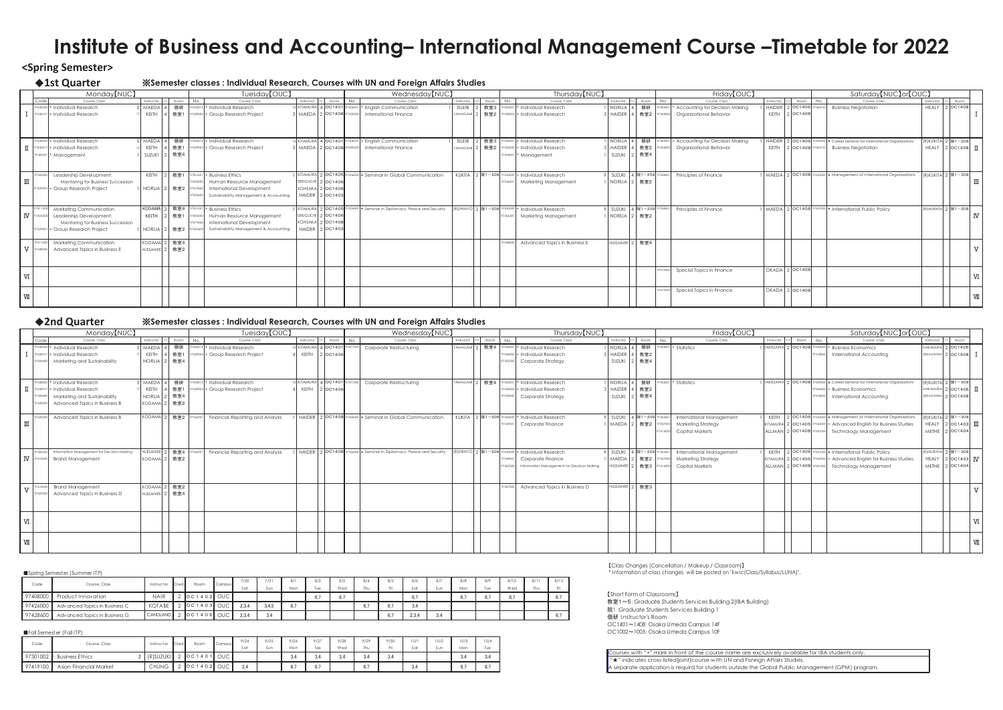## **<Spring Semester>**

䕺**1st Quarter** 䈜**Semester classes : Individual Research, Courses with UN and Foreign Affairs Studies**

䛆Short Form of Classrooms䛇 教室1~5: Graduate Students Services Building 2(IBA Building) 院1 :Graduate Students Services Building 1 個研 :Instructor's Room

| Monday <sup>[NUC]</sup>                   |                       |                           | Tuesday <sup>[OUC]</sup>                         |                         |                       | Wednesday <sup>[NUC]</sup>                                            |                 |                         | Thursday <sup>[NUC]</sup>                        |                       | Friday <sup>[OUC]</sup>                                          |                |                       | Saturday [NUC] or [OUC]                                                                           |       |                           |                       |
|-------------------------------------------|-----------------------|---------------------------|--------------------------------------------------|-------------------------|-----------------------|-----------------------------------------------------------------------|-----------------|-------------------------|--------------------------------------------------|-----------------------|------------------------------------------------------------------|----------------|-----------------------|---------------------------------------------------------------------------------------------------|-------|---------------------------|-----------------------|
| Course, Class<br>Code                     |                       | Instructor Cred. Room No. | Course, Class                                    |                         | Instructor Cred. Room | No.<br>Course, Class                                                  |                 | Instructor ord Room     | Course, Class<br>N <sub>0</sub>                  | Instructor Cred. Room | Course, Class<br>No.                                             |                | Instructor Cred. Room | No.<br>Course, Class                                                                              |       | Instructor Cred. Room     |                       |
| 97430005 + Individual Research            | 5 MAEDA               |                           | 個研 97430015 + Individual Research                |                         |                       | KITAMURA 4 OC1401 97306001 + English Communication                    | <b>ISLEIB</b>   | 教室3                     | Individual Research                              |                       | NORLIA 4 個研 <sup>97303001</sup> + Accounting for Decision Making |                |                       | HAIDER 2 OC1406 97405100 Business Negotiation                                                     | HEALY | 2 OC1408                  |                       |
| 97430017 + Individual Research            | KFITH                 | 教室1                       | 97429003 + Group Research Project                | MAEDA 2 0C1408 974205   |                       | International Finance                                                 | <b>YAMAGAMI</b> | 教室2                     | 430003 + Individual Research                     | HAIDER 4 教室2          | Organizational Behavior<br>404000                                | KEITH 2 OC140  |                       |                                                                                                   |       |                           |                       |
|                                           |                       |                           |                                                  |                         |                       |                                                                       |                 |                         |                                                  |                       |                                                                  |                |                       |                                                                                                   |       |                           |                       |
|                                           |                       |                           |                                                  |                         |                       |                                                                       |                 |                         |                                                  |                       |                                                                  |                |                       |                                                                                                   |       |                           |                       |
|                                           |                       |                           |                                                  |                         |                       |                                                                       |                 |                         |                                                  |                       |                                                                  |                |                       |                                                                                                   |       |                           |                       |
| 97430005 + Individual Research            | 5 MAEDA               |                           | 個研 97430015 + Individual Research                |                         |                       | KITAMURA 4 OC1401 97306001 + English Communication                    | <b>ISLEIB</b>   | 教室3                     | 7430001 + Individual Research                    |                       | NORLIA 4 個研 97303001 + Accounting for Decision Making            |                |                       | HAIDER 2 OC1406 97439000 * Career Seminar for International Organization                          |       | (R) KUKITA 2 院1-208       |                       |
| 97430017 + Individual Research            | KEITH                 | 教室1                       | 97429003 + Group Research Project                | MAEDA 2 OC1408 97420500 |                       | International Finance                                                 | YAMAGAMI        | 教室2                     | 430003 + Individual Research                     | HAIDER 4 教室2          | 7404000 Organizational Behavior                                  |                |                       | KEITH 2 OC1408 97405100 Business Negotiation                                                      |       | HEALY 2 $\circ$ 0C1408 II |                       |
| $97302001 + M$ anagement                  | SUZUKI                | 教室4                       |                                                  |                         |                       |                                                                       |                 |                         | $7302001 + M$ anagement                          | SUZUKI 2 教室4          |                                                                  |                |                       |                                                                                                   |       |                           |                       |
|                                           |                       |                           |                                                  |                         |                       |                                                                       |                 |                         |                                                  |                       |                                                                  |                |                       |                                                                                                   |       |                           |                       |
|                                           |                       |                           |                                                  |                         |                       |                                                                       |                 |                         |                                                  |                       |                                                                  |                |                       |                                                                                                   |       |                           |                       |
| Leadership Development:<br>423300         | KEITH I               |                           | 教室1 97301001 + Business Ethics                   |                         |                       | KITAMURA 2 OC1405 97436000 * Seminar in Global Communication          |                 | KUKITA 2 院1-208 9743000 | Individual Research                              | SUZUKI 4 院1-209       | Principles of Finance                                            |                |                       | MAEDA   2   OC1408   97432000   * Management of International Organizations   RIKUKITA 2   院1-208 |       |                           |                       |
| Mentoring for Business Succession         |                       |                           | Human Resource Management<br>740500              | <b>SEKIGUCHI</b>        | 2 OC1406              |                                                                       |                 |                         | Marketing Management                             | NORLIA 2 教室2          |                                                                  |                |                       |                                                                                                   |       |                           |                       |
| 7429001 + Group Research Project          | <b>NORLIA</b>         |                           | 教室2 97419600 International Development           | <b>KOHSAKA</b>          | OC1408                |                                                                       |                 |                         |                                                  |                       |                                                                  |                |                       |                                                                                                   |       |                           |                       |
|                                           |                       |                           | Sustainability Management & Accounting<br>742360 |                         | HAIDER 2 OC1403       |                                                                       |                 |                         |                                                  |                       |                                                                  |                |                       |                                                                                                   |       |                           |                       |
|                                           |                       |                           |                                                  |                         |                       |                                                                       |                 |                         |                                                  |                       |                                                                  |                |                       |                                                                                                   |       |                           |                       |
| 97411000 Marketing Communication          | <b>KODAMA</b>         |                           | 教室4 97301001 + Business Ethics                   |                         |                       | KITAMURA 2 OC1405 97434000 * Seminar in Diplomacy, Peace and Security |                 |                         | RISHINYO 2 院1-208 97430009 + Individual Research | SUZUKI 4 院1-209       | Principles of Finance<br>358501                                  |                |                       | MAEDA 2 OC1408 97431000 * International Public Policy                                             |       | (R) MURATA 2 院1-208       |                       |
| IV 97423300 Leadership Development:       | KEITH                 | 教室1                       | 97405000 Human Resource Management               | SEKIGUCHI               | OC1406                |                                                                       |                 |                         | Marketing Management                             | NORLIA 2 教室2          |                                                                  |                |                       |                                                                                                   |       |                           | $_{\rm IV}$           |
| Mentoring for Business Succession         |                       |                           | International Development<br>741960              | <b>KOHSAKA</b>          | OC1408                |                                                                       |                 |                         |                                                  |                       |                                                                  |                |                       |                                                                                                   |       |                           |                       |
| 97429001 + Group Research Project         | NORLIA <sup>1</sup> 2 | 2 教室2 9742360             | Sustainability Management & Accounting           | <b>HAIDER</b>           | 2 OC1403              |                                                                       |                 |                         |                                                  |                       |                                                                  |                |                       |                                                                                                   |       |                           |                       |
|                                           |                       |                           |                                                  |                         |                       |                                                                       |                 |                         |                                                  |                       |                                                                  |                |                       |                                                                                                   |       |                           |                       |
| 97411000 Marketing Communication          | <b>KODAMA</b>         | 教室4                       |                                                  |                         |                       |                                                                       |                 |                         | Advanced Topics in Business E                    | HUSSAINEE 2 教室4       |                                                                  |                |                       |                                                                                                   |       |                           |                       |
| 97428000<br>Advanced Topics in Business E | <b>HUSSAINEE</b>      | 教室2                       |                                                  |                         |                       |                                                                       |                 |                         |                                                  |                       |                                                                  |                |                       |                                                                                                   |       |                           |                       |
|                                           |                       |                           |                                                  |                         |                       |                                                                       |                 |                         |                                                  |                       |                                                                  |                |                       |                                                                                                   |       |                           |                       |
|                                           |                       |                           |                                                  |                         |                       |                                                                       |                 |                         |                                                  |                       |                                                                  |                |                       |                                                                                                   |       |                           |                       |
|                                           |                       |                           |                                                  |                         |                       |                                                                       |                 |                         |                                                  |                       | Special Topics in Finance                                        | OKADA 2 OC1408 |                       |                                                                                                   |       |                           |                       |
|                                           |                       |                           |                                                  |                         |                       |                                                                       |                 |                         |                                                  |                       |                                                                  |                |                       |                                                                                                   |       |                           | $\overline{\text{M}}$ |
|                                           |                       |                           |                                                  |                         |                       |                                                                       |                 |                         |                                                  |                       |                                                                  |                |                       |                                                                                                   |       |                           |                       |
|                                           |                       |                           |                                                  |                         |                       |                                                                       |                 |                         |                                                  |                       | Special Topics in Finance                                        | OKADA 2 OC1408 |                       |                                                                                                   |       |                           |                       |
|                                           |                       |                           |                                                  |                         |                       |                                                                       |                 |                         |                                                  |                       |                                                                  |                |                       |                                                                                                   |       |                           | VІ                    |
|                                           |                       |                           |                                                  |                         |                       |                                                                       |                 |                         |                                                  |                       |                                                                  |                |                       |                                                                                                   |       |                           |                       |

◆**2nd Quarter**  $%$ *W***Semester classes : Individual Research, Courses with UN and Foreign Affairs Studies** 

OC1401~1408: Osaka Umeda Campus 14F OC1002䡚1005䠖Osaka Umeda Campus 10F

䛆Class Changes (Cancellation / Makeup / Classroom)䛇 \* Information of class changes will be posted on "kwic(Class/Syllabus/LUNA)".

|                        |          | Monday <sup>[NUC]</sup>                      |                        |       | Tuesday <sup>[OUC]</sup>          |                             |     | Wednesday <sup>[NUC]</sup>                                          |                       |      |     | Thursday <sup>[NUC]</sup>                         |                  |                 | Friday <sup>[OUC]</sup>                           |            |            | Saturday [NUC] or [OUC]                                                    |                       |                            |    |
|------------------------|----------|----------------------------------------------|------------------------|-------|-----------------------------------|-----------------------------|-----|---------------------------------------------------------------------|-----------------------|------|-----|---------------------------------------------------|------------------|-----------------|---------------------------------------------------|------------|------------|----------------------------------------------------------------------------|-----------------------|----------------------------|----|
|                        | l Code   | Course, Class                                | Instructor             | Room  | Course, Class                     | Instructor Cred. Room       | No. | Course, Class                                                       | Instructor            | Room | No. | Course, Class                                     | Instructor Cred. | Room            | N <sub>0</sub><br>Course, Class                   | Instructor | Cred. Room | No.<br>Course, Class                                                       | Instructor            | Room                       |    |
|                        |          | 7430005 + Individual Research                | MAEDA 4                |       | 個研 97430015 + Individual Research | SKITAMURA 4 0C1401 97417000 |     | Corporate Restructuring                                             | YAMAGAMI <sup>1</sup> |      |     | 2 教室4 97430001 + Individual Research              |                  |                 | NORLIA 4 個研 97305001 + Statistics                 |            |            | TAKEZAWA 2 OC1408 97304000 + Business Economics                            |                       | NAKAMURA 2 OC1406          |    |
|                        |          | $\frac{1}{2}$ 97430017 + Individual Research | KEITH                  | 教室1   | 97429004 + Group Research Project | KEITH 2 0C1406              |     |                                                                     |                       |      |     | 430003 + Individual Research                      | <b>HAIDER</b>    | 教室2             |                                                   |            |            | 7418000 International Accounting                                           |                       | (R) KAJIWARA 2 OC1408      |    |
|                        | 7423400  | Marketing and Sustainability                 | <b>NORLIA</b>          | 教室4   |                                   |                             |     |                                                                     |                       |      |     | Corporate Strategy                                | SUZUKI           | 教室4             |                                                   |            |            |                                                                            |                       |                            |    |
|                        |          |                                              |                        |       |                                   |                             |     |                                                                     |                       |      |     |                                                   |                  |                 |                                                   |            |            |                                                                            |                       |                            |    |
|                        |          | 97430005 + Individual Research               | MAEDA 4                |       | 個研 97430015 + Individual Research | KITAMURA 4 0C1401 97417000  |     | Corporate Restructuring                                             | YAMAGAM               |      |     | 图 教室4 97430001 + Individual Research              |                  |                 | NORLIA 4 個研 97305001 + Statistics                 |            |            | TAKEZAWA 2 OC1408 97439000 * Career Seminar for International Organization |                       | (R) KUKITA 2 院1-208        |    |
|                        |          | $\prod$ 97430017 + Individual Research       | KEITH                  | 教室1   | 97429004 + Group Research Project | KEITH 2 OC1406              |     |                                                                     |                       |      |     | 7430003 + Individual Research                     | <b>HAIDER</b>    | 教室2             |                                                   |            |            | 97304000 + Business Economics                                              | NAKAMURA <sub>2</sub> | $2$ OC1406 $\overline{11}$ |    |
|                        | 7423400  | Marketing and Sustainability                 | <b>NORLIA</b>          | 教室4   |                                   |                             |     |                                                                     |                       |      |     | Corporate Strategy                                |                  | SUZUKI 2 教室4    |                                                   |            |            | 7418000 International Accounting                                           |                       | (R) KAJIWARA 2 OC1408      |    |
|                        | 742500   | Advanced Topics in Business B                | <b>KODAMA</b>          | 教室2   |                                   |                             |     |                                                                     |                       |      |     |                                                   |                  |                 |                                                   |            |            |                                                                            |                       |                            |    |
|                        |          |                                              |                        |       |                                   |                             |     |                                                                     |                       |      |     |                                                   |                  |                 |                                                   |            |            |                                                                            |                       |                            |    |
|                        | 742500   | Advanced Topics in Business B                | KODAMA 2 教室2 9736000   |       | Financial Reporting and Analysis  |                             |     | HAIDER 2 OC1408 97436000 * Seminar in Global Communication          |                       |      |     | KUKITA 2 院1-208 97430009 + Individual Research    |                  |                 | SUZUKI 4 院1-209 97354501 International Management |            |            | KEITH 2 OC1406 97432000 * Management of International Organizations        |                       | (R) KUKITA 2 院1-208        |    |
| $\scriptstyle\rm I\!I$ |          |                                              |                        |       |                                   |                             |     |                                                                     |                       |      |     | Corporate Finance                                 |                  |                 | MAEDA 2 教室2 97357000 Marketing Strategy           |            |            | KITAMURA 2 OC1405 97362000 + Advanced English for Business Studies         | HEALY :               | $2$ OC1403 $\overline{11}$ |    |
|                        |          |                                              |                        |       |                                   |                             |     |                                                                     |                       |      |     |                                                   |                  |                 | 97414000 Capital Markets                          |            |            | ALLMAN 2 OC1408 97401000 Technology Management                             | METHE 2               | 2 OC1404                   |    |
|                        |          |                                              |                        |       |                                   |                             |     |                                                                     |                       |      |     |                                                   |                  |                 |                                                   |            |            |                                                                            |                       |                            |    |
|                        | 97405200 | Information Management for Decision Making   | HUSSAINEE <sup>1</sup> | 教室4   | Financial Reporting and Analysis  |                             |     | HAIDER 2 OC1408 97434000 * Seminar in Diplomacy, Peace and Security |                       |      |     | [R)SHINYO 2 院1-208 97430009 + Individual Research |                  |                 | SUZUKI 4 院1-209 97354501 International Management |            |            | KEITH 2 OC1406 97431000 * International Public Policy                      |                       | (R) MURATA 2 院1-208        |    |
|                        |          | <b>IV</b> 97410000 Brand Management          | KODAMA <sup>2</sup>    | 2 教室2 |                                   |                             |     |                                                                     |                       |      |     | Corporate Finance                                 | <b>MAEDA</b>     | 教室2 97357000    | Marketing Strategy                                |            |            | KITAMURA 2 OC1405 97362000 + Advanced English for Business Studies         | HEALY 3               | $2$ OC1403 IV              |    |
|                        |          |                                              |                        |       |                                   |                             |     |                                                                     |                       |      |     | Information Management for Decision Making        |                  |                 | HUSSAINEE 2 教室3 97414000 Capital Markets          |            |            | ALLMAN 2 OC1408 97401000 Technology Management                             | METHE <sup>1</sup>    | 2 OC1404                   |    |
|                        |          |                                              |                        |       |                                   |                             |     |                                                                     |                       |      |     |                                                   |                  |                 |                                                   |            |            |                                                                            |                       |                            |    |
|                        |          |                                              |                        |       |                                   |                             |     |                                                                     |                       |      |     |                                                   |                  |                 |                                                   |            |            |                                                                            |                       |                            |    |
|                        |          | <b>Brand Management</b>                      | <b>KODAMA</b>          | 教室2   |                                   |                             |     |                                                                     |                       |      |     | Advanced Topics in Business D                     |                  | HUSSAINEE 2 教室3 |                                                   |            |            |                                                                            |                       |                            |    |
|                        |          | Advanced Topics in Business D                | HUSSAINEE              | 教室4   |                                   |                             |     |                                                                     |                       |      |     |                                                   |                  |                 |                                                   |            |            |                                                                            |                       |                            |    |
|                        |          |                                              |                        |       |                                   |                             |     |                                                                     |                       |      |     |                                                   |                  |                 |                                                   |            |            |                                                                            |                       |                            |    |
|                        |          |                                              |                        |       |                                   |                             |     |                                                                     |                       |      |     |                                                   |                  |                 |                                                   |            |            |                                                                            |                       |                            |    |
| $\rm I\!V$             |          |                                              |                        |       |                                   |                             |     |                                                                     |                       |      |     |                                                   |                  |                 |                                                   |            |            |                                                                            |                       |                            | VI |
|                        |          |                                              |                        |       |                                   |                             |     |                                                                     |                       |      |     |                                                   |                  |                 |                                                   |            |            |                                                                            |                       |                            |    |
|                        |          |                                              |                        |       |                                   |                             |     |                                                                     |                       |      |     |                                                   |                  |                 |                                                   |            |            |                                                                            |                       |                            |    |
| $\rm I\!I\!I$          |          |                                              |                        |       |                                   |                             |     |                                                                     |                       |      |     |                                                   |                  |                 |                                                   |            |            |                                                                            |                       |                            | Ⅶ  |
|                        |          |                                              |                        |       |                                   |                             |     |                                                                     |                       |      |     |                                                   |                  |                 |                                                   |            |            |                                                                            |                       |                            |    |

# **Institute of Business and Accounting– International Management Course –Timetable for 2022**

Courses with "+" mark in front of the course name are exclusively available for IBA students only. "**★"** indicates cross-listed(joint)course with UN and Foreign Affairs Studies. A separate application is requird for students outside the Global Public Management (GPM) program.

|          | Spring Semester (Summer ITP)  |                     |       |                       |               |       |       |     |     |     |     |     |       |     |     |     |      |      |      |
|----------|-------------------------------|---------------------|-------|-----------------------|---------------|-------|-------|-----|-----|-----|-----|-----|-------|-----|-----|-----|------|------|------|
| Code     | Course, Class                 | Instructor          | Cred. | Room                  | <b>Campus</b> | 7/30  | 7/31  | 8/1 | 8/2 | 8/3 | 8/4 | 8/5 | 8/6   | 8/7 | 8/8 | 8/9 | 8/10 | 8/11 | 8/12 |
|          |                               |                     |       |                       |               | Sat   | S un  | Mon | Tue | Wed | Thu |     | Sat   | Sun | Mon | Tue | Wed  | Thu  | Fri  |
| 97408000 | Product Innovation            | <b>NAIR</b>         |       | $OC1402$ OUC          |               |       |       |     | 6.7 | 6.7 |     |     | 6.7   |     | ο.  | 6.1 |      |      |      |
| 97426000 | Advanced Topics in Business C | KOTABE <sub>I</sub> |       | 2 0 C 1 4 0 3 OUC     |               | 2.3.4 | 3.4.5 | 6.7 |     |     |     | 6.7 | 3.4   |     |     |     |      |      |      |
| 97428600 | Advanced Topics in Business G |                     |       | CANDLAND 2 0C1406 OUC |               | 2.3.4 | 3.4   |     |     |     |     | 6.  | 2.3.4 | 3.4 |     |     |      |      | 6.7  |

|          | Fall Semester (Fall ITP) |            |       |                                                                                                                          |            |      |      |      |      |      |      |      |      |      |      |      |
|----------|--------------------------|------------|-------|--------------------------------------------------------------------------------------------------------------------------|------------|------|------|------|------|------|------|------|------|------|------|------|
| Code     | Course, Class            | Instructor | Cred. | Room                                                                                                                     | Campus     | 9/24 | 9/25 | 9/26 | 9/27 | 9/28 | 9/29 | 9/30 | 10/1 | 10/2 | 10/3 | 10/4 |
|          |                          |            |       |                                                                                                                          |            | Sat  | Sun  | Mon  | Tue  | Wed  | Thu  | Fri  | Sat  | Sun  | Mon  | Tue  |
| 97301002 | <b>Business Ethics</b>   | (R)SUZUKI  |       | $\begin{array}{c}\n\begin{array}{c}\n\text{O}\n\text{C} \\ \text{1} \\ \text{4} \\ \text{O}\n\end{array} \\ \end{array}$ | <b>OUC</b> |      |      | 3,4  | 3,4  | 3,4  | 3,4  | 3.4  |      |      | 3.4  | 3.4  |
| 97419100 | Asian Financial Market   | CHUNG 1    |       | OC1402 OUC                                                                                                               |            | 3.4  |      | 6.7  | 6.7  |      | 6.7  |      | 3.4  |      | 6.7  |      |